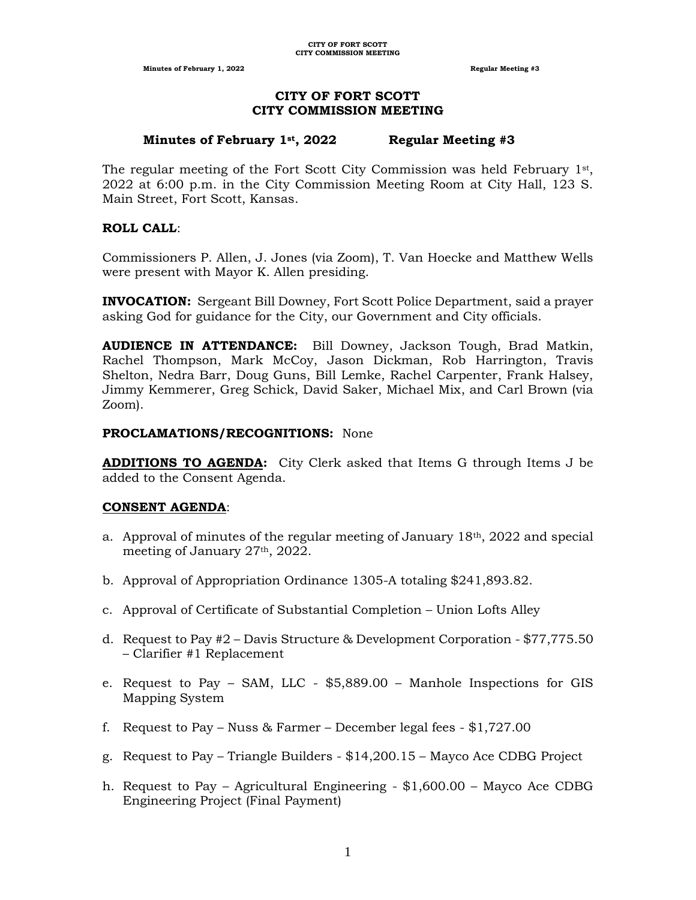**Minutes of February 1, 2022 Regular Meeting #3 Regular Meeting #3** 

# **CITY OF FORT SCOTT CITY COMMISSION MEETING**

#### **Minutes of February 1st, 2022 Regular Meeting #3**

The regular meeting of the Fort Scott City Commission was held February  $1<sup>st</sup>$ , 2022 at 6:00 p.m. in the City Commission Meeting Room at City Hall, 123 S. Main Street, Fort Scott, Kansas.

## **ROLL CALL**:

Commissioners P. Allen, J. Jones (via Zoom), T. Van Hoecke and Matthew Wells were present with Mayor K. Allen presiding.

**INVOCATION:** Sergeant Bill Downey, Fort Scott Police Department, said a prayer asking God for guidance for the City, our Government and City officials.

**AUDIENCE IN ATTENDANCE:** Bill Downey, Jackson Tough, Brad Matkin, Rachel Thompson, Mark McCoy, Jason Dickman, Rob Harrington, Travis Shelton, Nedra Barr, Doug Guns, Bill Lemke, Rachel Carpenter, Frank Halsey, Jimmy Kemmerer, Greg Schick, David Saker, Michael Mix, and Carl Brown (via Zoom).

# **PROCLAMATIONS/RECOGNITIONS:** None

**ADDITIONS TO AGENDA:** City Clerk asked that Items G through Items J be added to the Consent Agenda.

#### **CONSENT AGENDA**:

- a. Approval of minutes of the regular meeting of January  $18<sup>th</sup>$ , 2022 and special meeting of January 27th, 2022.
- b. Approval of Appropriation Ordinance 1305-A totaling \$241,893.82.
- c. Approval of Certificate of Substantial Completion Union Lofts Alley
- d. Request to Pay #2 Davis Structure & Development Corporation \$77,775.50 – Clarifier #1 Replacement
- e. Request to Pay SAM, LLC \$5,889.00 Manhole Inspections for GIS Mapping System
- f. Request to Pay Nuss & Farmer December legal fees  $$1,727.00$
- g. Request to Pay Triangle Builders \$14,200.15 Mayco Ace CDBG Project
- h. Request to Pay Agricultural Engineering \$1,600.00 Mayco Ace CDBG Engineering Project (Final Payment)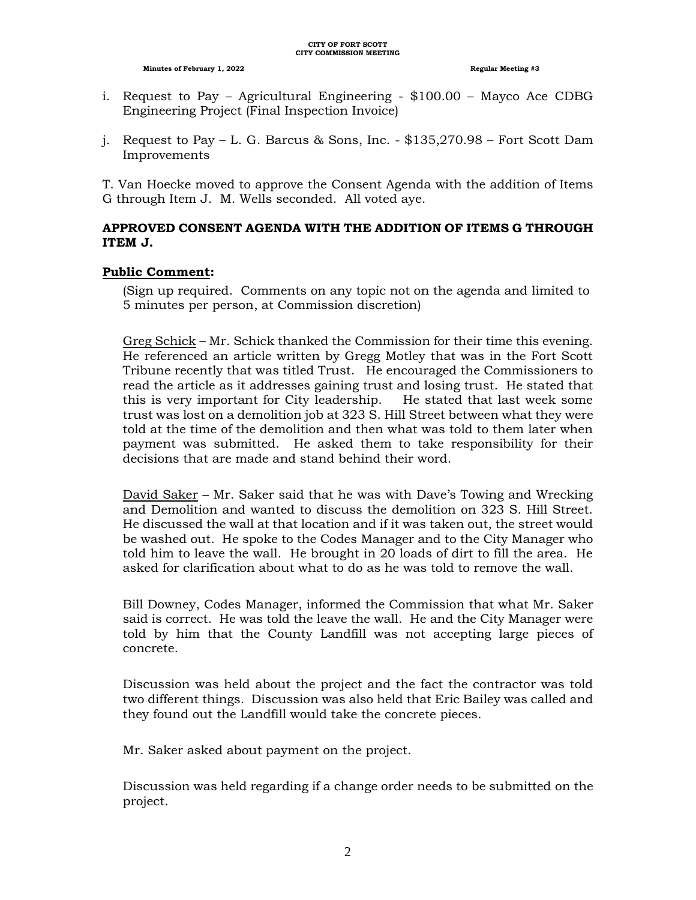- i. Request to Pay Agricultural Engineering \$100.00 Mayco Ace CDBG Engineering Project (Final Inspection Invoice)
- j. Request to Pay L. G. Barcus & Sons, Inc.  $-$  \$135,270.98 Fort Scott Dam Improvements

T. Van Hoecke moved to approve the Consent Agenda with the addition of Items G through Item J. M. Wells seconded. All voted aye.

# **APPROVED CONSENT AGENDA WITH THE ADDITION OF ITEMS G THROUGH ITEM J.**

# **Public Comment:**

(Sign up required. Comments on any topic not on the agenda and limited to 5 minutes per person, at Commission discretion)

Greg Schick – Mr. Schick thanked the Commission for their time this evening. He referenced an article written by Gregg Motley that was in the Fort Scott Tribune recently that was titled Trust. He encouraged the Commissioners to read the article as it addresses gaining trust and losing trust. He stated that this is very important for City leadership. He stated that last week some trust was lost on a demolition job at 323 S. Hill Street between what they were told at the time of the demolition and then what was told to them later when payment was submitted. He asked them to take responsibility for their decisions that are made and stand behind their word.

David Saker – Mr. Saker said that he was with Dave's Towing and Wrecking and Demolition and wanted to discuss the demolition on 323 S. Hill Street. He discussed the wall at that location and if it was taken out, the street would be washed out. He spoke to the Codes Manager and to the City Manager who told him to leave the wall. He brought in 20 loads of dirt to fill the area. He asked for clarification about what to do as he was told to remove the wall.

Bill Downey, Codes Manager, informed the Commission that what Mr. Saker said is correct. He was told the leave the wall. He and the City Manager were told by him that the County Landfill was not accepting large pieces of concrete.

Discussion was held about the project and the fact the contractor was told two different things. Discussion was also held that Eric Bailey was called and they found out the Landfill would take the concrete pieces.

Mr. Saker asked about payment on the project.

Discussion was held regarding if a change order needs to be submitted on the project.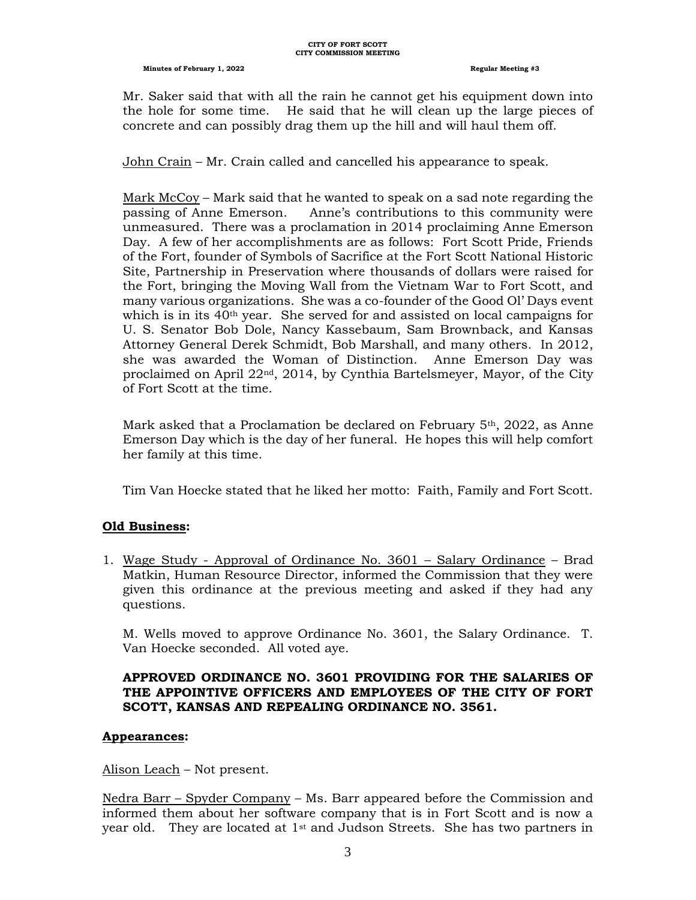Mr. Saker said that with all the rain he cannot get his equipment down into the hole for some time. He said that he will clean up the large pieces of concrete and can possibly drag them up the hill and will haul them off.

John Crain – Mr. Crain called and cancelled his appearance to speak.

Mark McCoy – Mark said that he wanted to speak on a sad note regarding the passing of Anne Emerson. Anne's contributions to this community were unmeasured. There was a proclamation in 2014 proclaiming Anne Emerson Day. A few of her accomplishments are as follows: Fort Scott Pride, Friends of the Fort, founder of Symbols of Sacrifice at the Fort Scott National Historic Site, Partnership in Preservation where thousands of dollars were raised for the Fort, bringing the Moving Wall from the Vietnam War to Fort Scott, and many various organizations. She was a co-founder of the Good Ol' Days event which is in its 40th year. She served for and assisted on local campaigns for U. S. Senator Bob Dole, Nancy Kassebaum, Sam Brownback, and Kansas Attorney General Derek Schmidt, Bob Marshall, and many others. In 2012, she was awarded the Woman of Distinction. Anne Emerson Day was proclaimed on April 22nd, 2014, by Cynthia Bartelsmeyer, Mayor, of the City of Fort Scott at the time.

Mark asked that a Proclamation be declared on February  $5<sup>th</sup>$ , 2022, as Anne Emerson Day which is the day of her funeral. He hopes this will help comfort her family at this time.

Tim Van Hoecke stated that he liked her motto: Faith, Family and Fort Scott.

#### **Old Business:**

1. Wage Study - Approval of Ordinance No. 3601 – Salary Ordinance – Brad Matkin, Human Resource Director, informed the Commission that they were given this ordinance at the previous meeting and asked if they had any questions.

M. Wells moved to approve Ordinance No. 3601, the Salary Ordinance. T. Van Hoecke seconded. All voted aye.

# **APPROVED ORDINANCE NO. 3601 PROVIDING FOR THE SALARIES OF THE APPOINTIVE OFFICERS AND EMPLOYEES OF THE CITY OF FORT SCOTT, KANSAS AND REPEALING ORDINANCE NO. 3561.**

#### **Appearances:**

Alison Leach – Not present.

Nedra Barr – Spyder Company – Ms. Barr appeared before the Commission and informed them about her software company that is in Fort Scott and is now a year old. They are located at  $1<sup>st</sup>$  and Judson Streets. She has two partners in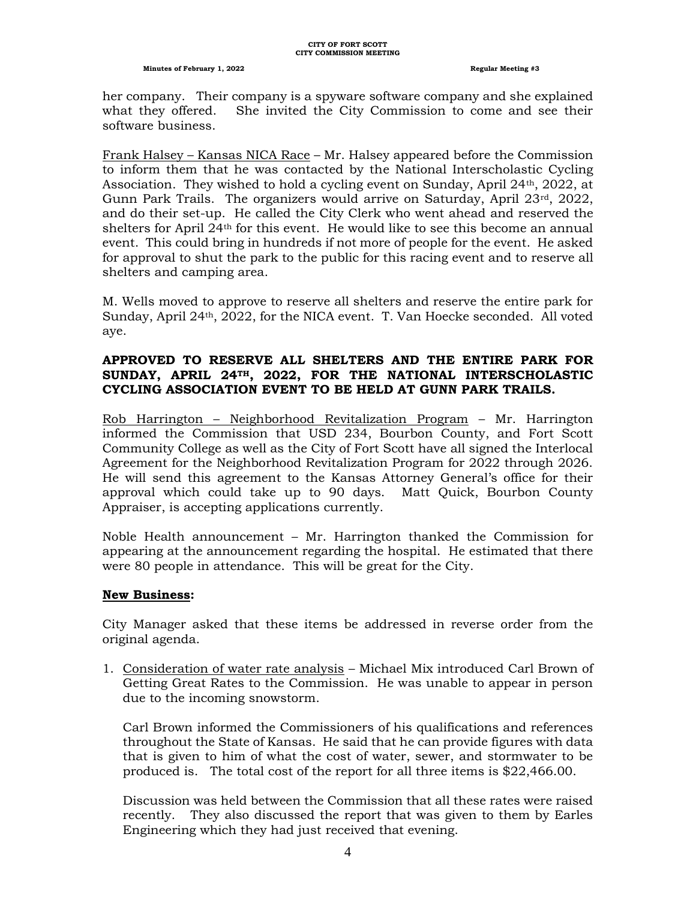her company. Their company is a spyware software company and she explained what they offered. She invited the City Commission to come and see their software business.

Frank Halsey – Kansas NICA Race – Mr. Halsey appeared before the Commission to inform them that he was contacted by the National Interscholastic Cycling Association. They wished to hold a cycling event on Sunday, April 24th, 2022, at Gunn Park Trails. The organizers would arrive on Saturday, April  $23rd$ ,  $2022$ , and do their set-up. He called the City Clerk who went ahead and reserved the shelters for April  $24<sup>th</sup>$  for this event. He would like to see this become an annual event. This could bring in hundreds if not more of people for the event. He asked for approval to shut the park to the public for this racing event and to reserve all shelters and camping area.

M. Wells moved to approve to reserve all shelters and reserve the entire park for Sunday, April 24th, 2022, for the NICA event. T. Van Hoecke seconded. All voted aye.

## **APPROVED TO RESERVE ALL SHELTERS AND THE ENTIRE PARK FOR SUNDAY, APRIL 24TH, 2022, FOR THE NATIONAL INTERSCHOLASTIC CYCLING ASSOCIATION EVENT TO BE HELD AT GUNN PARK TRAILS.**

Rob Harrington – Neighborhood Revitalization Program – Mr. Harrington informed the Commission that USD 234, Bourbon County, and Fort Scott Community College as well as the City of Fort Scott have all signed the Interlocal Agreement for the Neighborhood Revitalization Program for 2022 through 2026. He will send this agreement to the Kansas Attorney General's office for their approval which could take up to 90 days. Matt Quick, Bourbon County Appraiser, is accepting applications currently.

Noble Health announcement – Mr. Harrington thanked the Commission for appearing at the announcement regarding the hospital. He estimated that there were 80 people in attendance. This will be great for the City.

#### **New Business:**

City Manager asked that these items be addressed in reverse order from the original agenda.

1. Consideration of water rate analysis – Michael Mix introduced Carl Brown of Getting Great Rates to the Commission. He was unable to appear in person due to the incoming snowstorm.

Carl Brown informed the Commissioners of his qualifications and references throughout the State of Kansas. He said that he can provide figures with data that is given to him of what the cost of water, sewer, and stormwater to be produced is. The total cost of the report for all three items is \$22,466.00.

Discussion was held between the Commission that all these rates were raised recently. They also discussed the report that was given to them by Earles Engineering which they had just received that evening.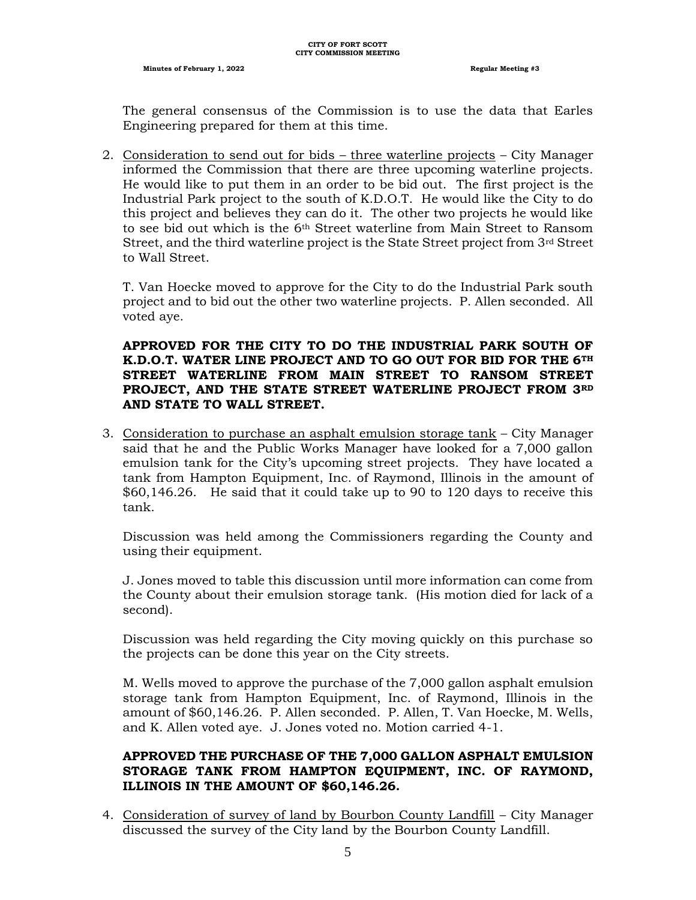**Minutes of February 1, 2022 Regular Meeting #3 Regular Meeting #3** 

The general consensus of the Commission is to use the data that Earles Engineering prepared for them at this time.

2. Consideration to send out for bids – three waterline projects – City Manager informed the Commission that there are three upcoming waterline projects. He would like to put them in an order to be bid out. The first project is the Industrial Park project to the south of K.D.O.T. He would like the City to do this project and believes they can do it. The other two projects he would like to see bid out which is the 6th Street waterline from Main Street to Ransom Street, and the third waterline project is the State Street project from  $3^{rd}$  Street to Wall Street.

T. Van Hoecke moved to approve for the City to do the Industrial Park south project and to bid out the other two waterline projects. P. Allen seconded. All voted aye.

# **APPROVED FOR THE CITY TO DO THE INDUSTRIAL PARK SOUTH OF K.D.O.T. WATER LINE PROJECT AND TO GO OUT FOR BID FOR THE 6TH STREET WATERLINE FROM MAIN STREET TO RANSOM STREET PROJECT, AND THE STATE STREET WATERLINE PROJECT FROM 3RD AND STATE TO WALL STREET.**

3. Consideration to purchase an asphalt emulsion storage tank – City Manager said that he and the Public Works Manager have looked for a 7,000 gallon emulsion tank for the City's upcoming street projects. They have located a tank from Hampton Equipment, Inc. of Raymond, Illinois in the amount of \$60,146.26. He said that it could take up to 90 to 120 days to receive this tank.

Discussion was held among the Commissioners regarding the County and using their equipment.

J. Jones moved to table this discussion until more information can come from the County about their emulsion storage tank. (His motion died for lack of a second).

Discussion was held regarding the City moving quickly on this purchase so the projects can be done this year on the City streets.

M. Wells moved to approve the purchase of the 7,000 gallon asphalt emulsion storage tank from Hampton Equipment, Inc. of Raymond, Illinois in the amount of \$60,146.26. P. Allen seconded. P. Allen, T. Van Hoecke, M. Wells, and K. Allen voted aye. J. Jones voted no. Motion carried 4-1.

# **APPROVED THE PURCHASE OF THE 7,000 GALLON ASPHALT EMULSION STORAGE TANK FROM HAMPTON EQUIPMENT, INC. OF RAYMOND, ILLINOIS IN THE AMOUNT OF \$60,146.26.**

4. Consideration of survey of land by Bourbon County Landfill – City Manager discussed the survey of the City land by the Bourbon County Landfill.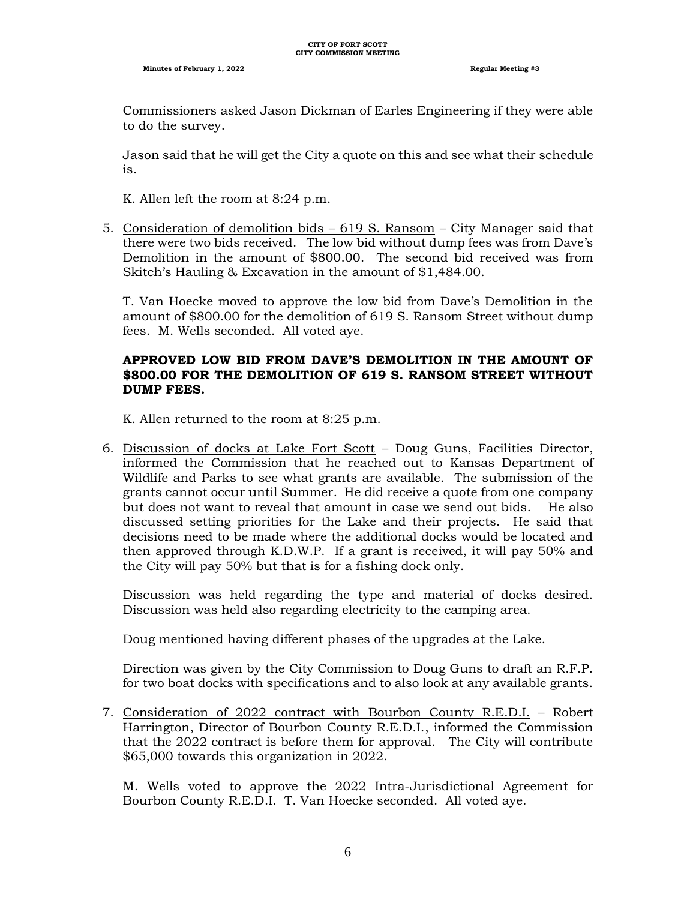Commissioners asked Jason Dickman of Earles Engineering if they were able to do the survey.

Jason said that he will get the City a quote on this and see what their schedule is.

K. Allen left the room at 8:24 p.m.

5. Consideration of demolition bids – 619 S. Ransom – City Manager said that there were two bids received. The low bid without dump fees was from Dave's Demolition in the amount of \$800.00. The second bid received was from Skitch's Hauling & Excavation in the amount of \$1,484.00.

T. Van Hoecke moved to approve the low bid from Dave's Demolition in the amount of \$800.00 for the demolition of 619 S. Ransom Street without dump fees. M. Wells seconded. All voted aye.

#### **APPROVED LOW BID FROM DAVE'S DEMOLITION IN THE AMOUNT OF \$800.00 FOR THE DEMOLITION OF 619 S. RANSOM STREET WITHOUT DUMP FEES.**

K. Allen returned to the room at 8:25 p.m.

6. Discussion of docks at Lake Fort Scott – Doug Guns, Facilities Director, informed the Commission that he reached out to Kansas Department of Wildlife and Parks to see what grants are available. The submission of the grants cannot occur until Summer. He did receive a quote from one company but does not want to reveal that amount in case we send out bids. He also discussed setting priorities for the Lake and their projects. He said that decisions need to be made where the additional docks would be located and then approved through K.D.W.P. If a grant is received, it will pay 50% and the City will pay 50% but that is for a fishing dock only.

Discussion was held regarding the type and material of docks desired. Discussion was held also regarding electricity to the camping area.

Doug mentioned having different phases of the upgrades at the Lake.

Direction was given by the City Commission to Doug Guns to draft an R.F.P. for two boat docks with specifications and to also look at any available grants.

7. Consideration of 2022 contract with Bourbon County R.E.D.I. – Robert Harrington, Director of Bourbon County R.E.D.I., informed the Commission that the 2022 contract is before them for approval. The City will contribute \$65,000 towards this organization in 2022.

M. Wells voted to approve the 2022 Intra-Jurisdictional Agreement for Bourbon County R.E.D.I. T. Van Hoecke seconded. All voted aye.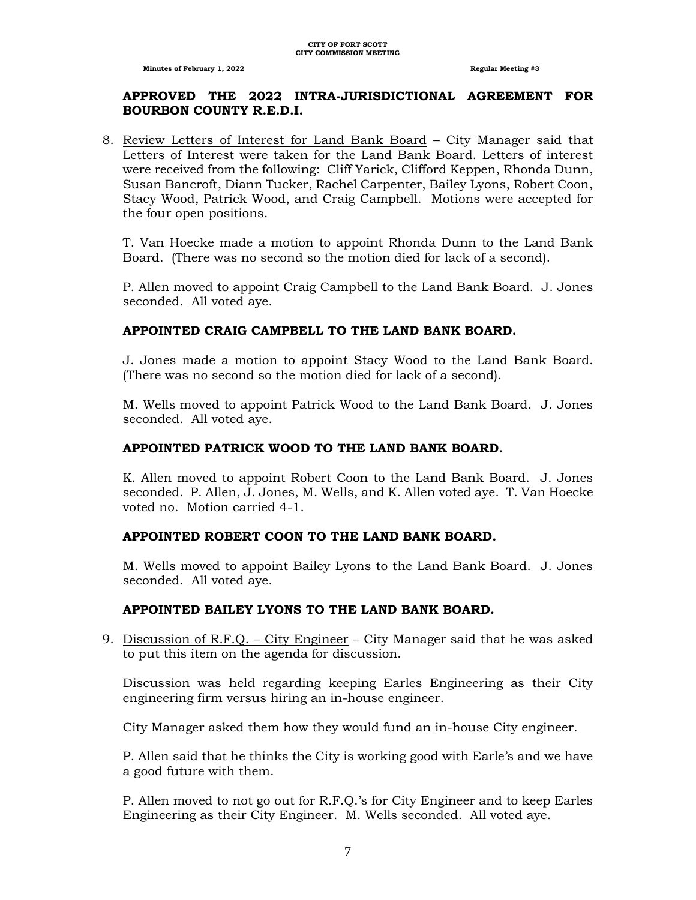# **APPROVED THE 2022 INTRA-JURISDICTIONAL AGREEMENT FOR BOURBON COUNTY R.E.D.I.**

8. Review Letters of Interest for Land Bank Board – City Manager said that Letters of Interest were taken for the Land Bank Board. Letters of interest were received from the following: Cliff Yarick, Clifford Keppen, Rhonda Dunn, Susan Bancroft, Diann Tucker, Rachel Carpenter, Bailey Lyons, Robert Coon, Stacy Wood, Patrick Wood, and Craig Campbell. Motions were accepted for the four open positions.

T. Van Hoecke made a motion to appoint Rhonda Dunn to the Land Bank Board. (There was no second so the motion died for lack of a second).

P. Allen moved to appoint Craig Campbell to the Land Bank Board. J. Jones seconded. All voted aye.

# **APPOINTED CRAIG CAMPBELL TO THE LAND BANK BOARD.**

J. Jones made a motion to appoint Stacy Wood to the Land Bank Board. (There was no second so the motion died for lack of a second).

M. Wells moved to appoint Patrick Wood to the Land Bank Board. J. Jones seconded. All voted aye.

## **APPOINTED PATRICK WOOD TO THE LAND BANK BOARD.**

K. Allen moved to appoint Robert Coon to the Land Bank Board. J. Jones seconded. P. Allen, J. Jones, M. Wells, and K. Allen voted aye. T. Van Hoecke voted no. Motion carried 4-1.

#### **APPOINTED ROBERT COON TO THE LAND BANK BOARD.**

M. Wells moved to appoint Bailey Lyons to the Land Bank Board. J. Jones seconded. All voted aye.

#### **APPOINTED BAILEY LYONS TO THE LAND BANK BOARD.**

9. Discussion of R.F.Q. – City Engineer – City Manager said that he was asked to put this item on the agenda for discussion.

Discussion was held regarding keeping Earles Engineering as their City engineering firm versus hiring an in-house engineer.

City Manager asked them how they would fund an in-house City engineer.

P. Allen said that he thinks the City is working good with Earle's and we have a good future with them.

P. Allen moved to not go out for R.F.Q.'s for City Engineer and to keep Earles Engineering as their City Engineer. M. Wells seconded. All voted aye.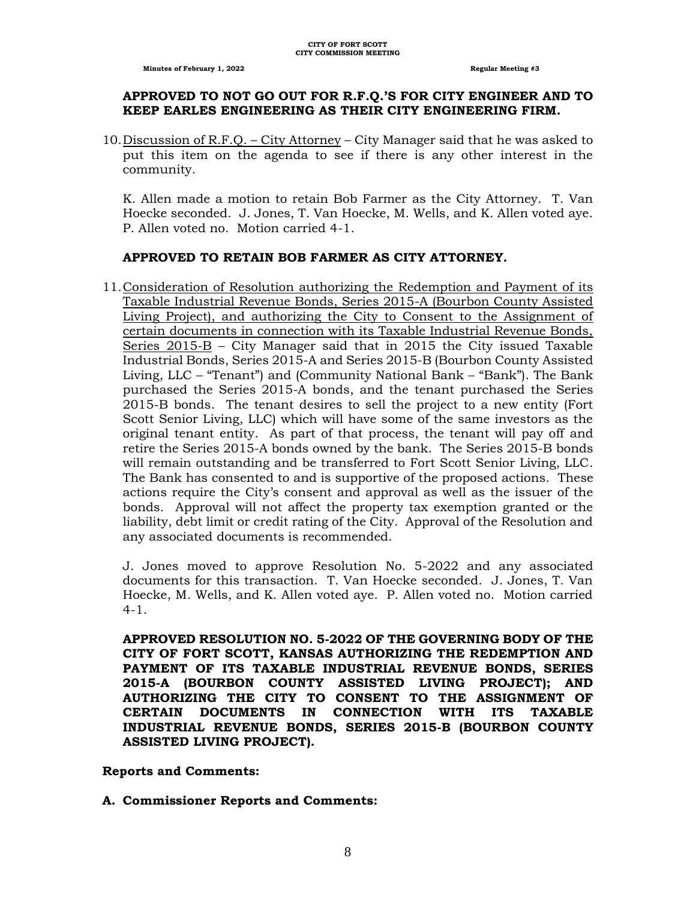#### **APPROVED TO NOT GO OUT FOR R.F.Q.'S FOR CITY ENGINEER AND TO KEEP EARLES ENGINEERING AS THEIR CITY ENGINEERING FIRM.**

10.Discussion of R.F.Q. – City Attorney – City Manager said that he was asked to put this item on the agenda to see if there is any other interest in the community.

K. Allen made a motion to retain Bob Farmer as the City Attorney. T. Van Hoecke seconded. J. Jones, T. Van Hoecke, M. Wells, and K. Allen voted aye. P. Allen voted no. Motion carried 4-1.

#### **APPROVED TO RETAIN BOB FARMER AS CITY ATTORNEY.**

11.Consideration of Resolution authorizing the Redemption and Payment of its Taxable Industrial Revenue Bonds, Series 2015-A (Bourbon County Assisted Living Project), and authorizing the City to Consent to the Assignment of certain documents in connection with its Taxable Industrial Revenue Bonds, Series 2015-B – City Manager said that in 2015 the City issued Taxable Industrial Bonds, Series 2015-A and Series 2015-B (Bourbon County Assisted Living, LLC – "Tenant") and (Community National Bank – "Bank"). The Bank purchased the Series 2015-A bonds, and the tenant purchased the Series 2015-B bonds. The tenant desires to sell the project to a new entity (Fort Scott Senior Living, LLC) which will have some of the same investors as the original tenant entity. As part of that process, the tenant will pay off and retire the Series 2015-A bonds owned by the bank. The Series 2015-B bonds will remain outstanding and be transferred to Fort Scott Senior Living, LLC. The Bank has consented to and is supportive of the proposed actions. These actions require the City's consent and approval as well as the issuer of the bonds. Approval will not affect the property tax exemption granted or the liability, debt limit or credit rating of the City. Approval of the Resolution and any associated documents is recommended.

J. Jones moved to approve Resolution No. 5-2022 and any associated documents for this transaction. T. Van Hoecke seconded. J. Jones, T. Van Hoecke, M. Wells, and K. Allen voted aye. P. Allen voted no. Motion carried  $4 - 1$ .

**APPROVED RESOLUTION NO. 5-2022 OF THE GOVERNING BODY OF THE CITY OF FORT SCOTT, KANSAS AUTHORIZING THE REDEMPTION AND PAYMENT OF ITS TAXABLE INDUSTRIAL REVENUE BONDS, SERIES 2015-A (BOURBON COUNTY ASSISTED LIVING PROJECT); AND AUTHORIZING THE CITY TO CONSENT TO THE ASSIGNMENT OF CERTAIN DOCUMENTS IN CONNECTION WITH ITS TAXABLE INDUSTRIAL REVENUE BONDS, SERIES 2015-B (BOURBON COUNTY ASSISTED LIVING PROJECT).**

#### **Reports and Comments:**

#### **A. Commissioner Reports and Comments:**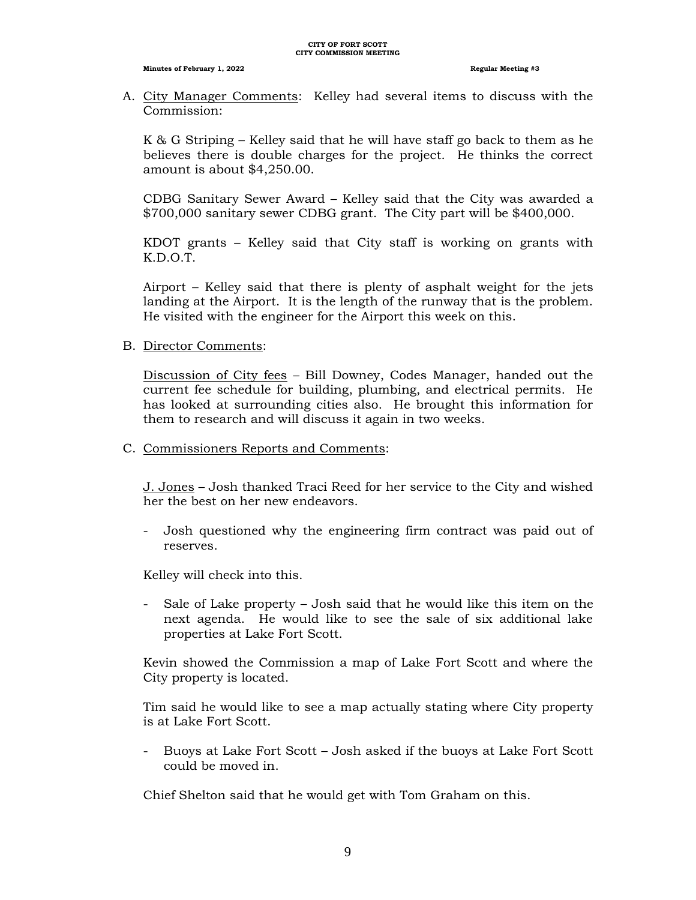A. City Manager Comments: Kelley had several items to discuss with the Commission:

K & G Striping – Kelley said that he will have staff go back to them as he believes there is double charges for the project. He thinks the correct amount is about \$4,250.00.

CDBG Sanitary Sewer Award – Kelley said that the City was awarded a \$700,000 sanitary sewer CDBG grant. The City part will be \$400,000.

KDOT grants – Kelley said that City staff is working on grants with K.D.O.T.

Airport – Kelley said that there is plenty of asphalt weight for the jets landing at the Airport. It is the length of the runway that is the problem. He visited with the engineer for the Airport this week on this.

B. Director Comments:

Discussion of City fees – Bill Downey, Codes Manager, handed out the current fee schedule for building, plumbing, and electrical permits. He has looked at surrounding cities also. He brought this information for them to research and will discuss it again in two weeks.

C. Commissioners Reports and Comments:

J. Jones – Josh thanked Traci Reed for her service to the City and wished her the best on her new endeavors.

- Josh questioned why the engineering firm contract was paid out of reserves.

Kelley will check into this.

- Sale of Lake property – Josh said that he would like this item on the next agenda. He would like to see the sale of six additional lake properties at Lake Fort Scott.

Kevin showed the Commission a map of Lake Fort Scott and where the City property is located.

Tim said he would like to see a map actually stating where City property is at Lake Fort Scott.

- Buoys at Lake Fort Scott – Josh asked if the buoys at Lake Fort Scott could be moved in.

Chief Shelton said that he would get with Tom Graham on this.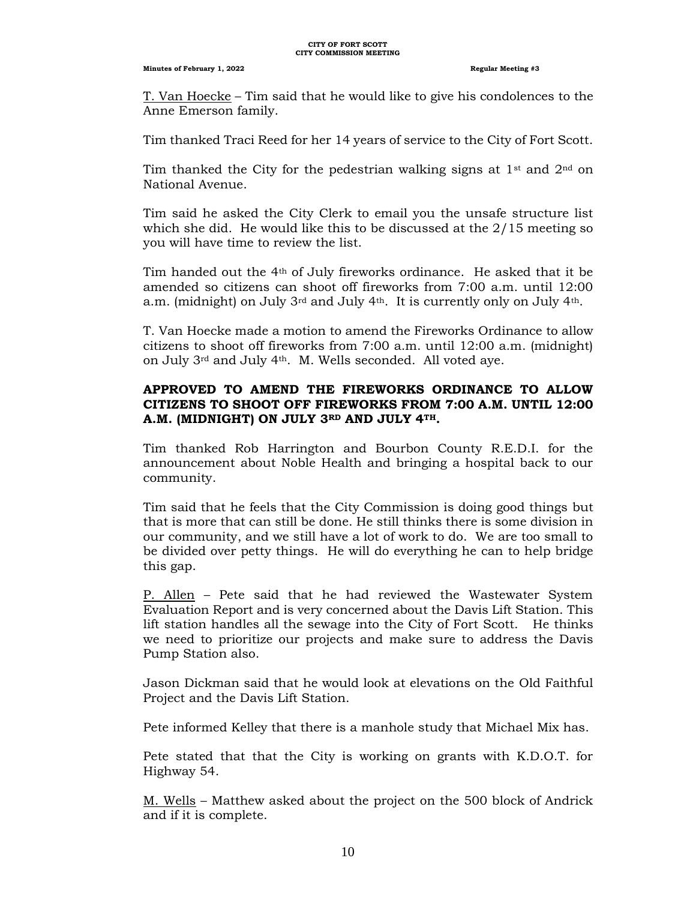#### **CITY OF FORT SCOTT CITY COMMISSION MEETING**

#### **Minutes of February 1, 2022 Regular Meeting #3**

T. Van Hoecke – Tim said that he would like to give his condolences to the Anne Emerson family.

Tim thanked Traci Reed for her 14 years of service to the City of Fort Scott.

Tim thanked the City for the pedestrian walking signs at  $1<sup>st</sup>$  and  $2<sup>nd</sup>$  on National Avenue.

Tim said he asked the City Clerk to email you the unsafe structure list which she did. He would like this to be discussed at the  $2/15$  meeting so you will have time to review the list.

Tim handed out the  $4<sup>th</sup>$  of July fireworks ordinance. He asked that it be amended so citizens can shoot off fireworks from 7:00 a.m. until 12:00 a.m. (midnight) on July  $3^{rd}$  and July  $4^{th}$ . It is currently only on July  $4^{th}$ .

T. Van Hoecke made a motion to amend the Fireworks Ordinance to allow citizens to shoot off fireworks from 7:00 a.m. until 12:00 a.m. (midnight) on July 3rd and July 4th. M. Wells seconded. All voted aye.

# **APPROVED TO AMEND THE FIREWORKS ORDINANCE TO ALLOW CITIZENS TO SHOOT OFF FIREWORKS FROM 7:00 A.M. UNTIL 12:00 A.M. (MIDNIGHT) ON JULY 3RD AND JULY 4TH.**

Tim thanked Rob Harrington and Bourbon County R.E.D.I. for the announcement about Noble Health and bringing a hospital back to our community.

Tim said that he feels that the City Commission is doing good things but that is more that can still be done. He still thinks there is some division in our community, and we still have a lot of work to do. We are too small to be divided over petty things. He will do everything he can to help bridge this gap.

P. Allen – Pete said that he had reviewed the Wastewater System Evaluation Report and is very concerned about the Davis Lift Station. This lift station handles all the sewage into the City of Fort Scott. He thinks we need to prioritize our projects and make sure to address the Davis Pump Station also.

Jason Dickman said that he would look at elevations on the Old Faithful Project and the Davis Lift Station.

Pete informed Kelley that there is a manhole study that Michael Mix has.

Pete stated that that the City is working on grants with K.D.O.T. for Highway 54.

M. Wells – Matthew asked about the project on the 500 block of Andrick and if it is complete.